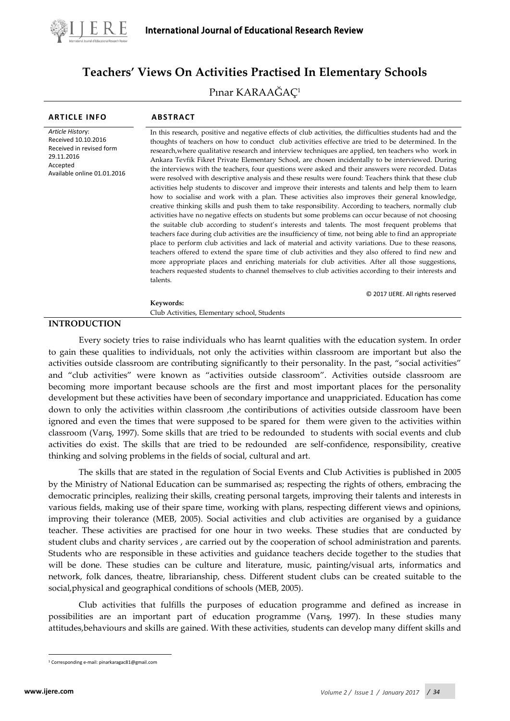

# **Teachers' Views On Activities Practised In Elementary Schools**

# Pınar KARAAĞAÇ<sup>1</sup>

| <b>ARTICLE INFO</b>                                                                                                          | <b>ABSTRACT</b>                                                                                                                                                                                                                                                                                                                                                                                                                                                                                                                                                                                                                                                                                                                                                                                                                                                                                                                                                                                                                                                                                                                                                                                                                                                                                                                                                                                                                                                                                                                                                                                                                                                                                                           |
|------------------------------------------------------------------------------------------------------------------------------|---------------------------------------------------------------------------------------------------------------------------------------------------------------------------------------------------------------------------------------------------------------------------------------------------------------------------------------------------------------------------------------------------------------------------------------------------------------------------------------------------------------------------------------------------------------------------------------------------------------------------------------------------------------------------------------------------------------------------------------------------------------------------------------------------------------------------------------------------------------------------------------------------------------------------------------------------------------------------------------------------------------------------------------------------------------------------------------------------------------------------------------------------------------------------------------------------------------------------------------------------------------------------------------------------------------------------------------------------------------------------------------------------------------------------------------------------------------------------------------------------------------------------------------------------------------------------------------------------------------------------------------------------------------------------------------------------------------------------|
| Article History:<br>Received 10.10.2016<br>Received in revised form<br>29.11.2016<br>Accepted<br>Available online 01.01.2016 | In this research, positive and negative effects of club activities, the difficulties students had and the<br>thoughts of teachers on how to conduct club activities effective are tried to be determined. In the<br>research, where qualitative research and interview techniques are applied, ten teachers who work in<br>Ankara Tevfik Fikret Private Elementary School, are chosen incidentally to be interviewed. During<br>the interviews with the teachers, four questions were asked and their answers were recorded. Datas<br>were resolved with descriptive analysis and these results were found: Teachers think that these club<br>activities help students to discover and improve their interests and talents and help them to learn<br>how to socialise and work with a plan. These activities also improves their general knowledge,<br>creative thinking skills and push them to take responsibility. According to teachers, normally club<br>activities have no negative effects on students but some problems can occur because of not choosing<br>the suitable club according to student's interests and talents. The most frequent problems that<br>teachers face during club activities are the insufficiency of time, not being able to find an appropriate<br>place to perform club activities and lack of material and activity variations. Due to these reasons,<br>teachers offered to extend the spare time of club activities and they also offered to find new and<br>more appropriate places and enriching materials for club activities. After all those suggestions,<br>teachers requested students to channel themselves to club activities according to their interests and<br>talents. |
|                                                                                                                              | © 2017 IJERE. All rights reserved                                                                                                                                                                                                                                                                                                                                                                                                                                                                                                                                                                                                                                                                                                                                                                                                                                                                                                                                                                                                                                                                                                                                                                                                                                                                                                                                                                                                                                                                                                                                                                                                                                                                                         |
|                                                                                                                              | Keywords:                                                                                                                                                                                                                                                                                                                                                                                                                                                                                                                                                                                                                                                                                                                                                                                                                                                                                                                                                                                                                                                                                                                                                                                                                                                                                                                                                                                                                                                                                                                                                                                                                                                                                                                 |
|                                                                                                                              | Club Activities, Elementary school, Students                                                                                                                                                                                                                                                                                                                                                                                                                                                                                                                                                                                                                                                                                                                                                                                                                                                                                                                                                                                                                                                                                                                                                                                                                                                                                                                                                                                                                                                                                                                                                                                                                                                                              |

# **INTRODUCTION**

Every society tries to raise individuals who has learnt qualities with the education system. In order to gain these qualities to individuals, not only the activities within classroom are important but also the activities outside classroom are contributing significantly to their personality. In the past, "social activities" and "club activities" were known as "activities outside classroom". Activities outside classroom are becoming more important because schools are the first and most important places for the personality development but these activities have been of secondary importance and unappriciated. Education has come down to only the activities within classroom ,the contiributions of activities outside classroom have been ignored and even the times that were supposed to be spared for them were given to the activities within classroom (Varış, 1997). Some skills that are tried to be redounded to students with social events and club activities do exist. The skills that are tried to be redounded are self-confidence, responsibility, creative thinking and solving problems in the fields of social, cultural and art.

The skills that are stated in the regulation of Social Events and Club Activities is published in 2005 by the Ministry of National Education can be summarised as; respecting the rights of others, embracing the democratic principles, realizing their skills, creating personal targets, improving their talents and interests in various fields, making use of their spare time, working with plans, respecting different views and opinions, improving their tolerance (MEB, 2005). Social activities and club activities are organised by a guidance teacher. These activities are practised for one hour in two weeks. These studies that are conducted by student clubs and charity services , are carried out by the cooperation of school administration and parents. Students who are responsible in these activities and guidance teachers decide together to the studies that will be done. These studies can be culture and literature, music, painting/visual arts, informatics and network, folk dances, theatre, librarianship, chess. Different student clubs can be created suitable to the social,physical and geographical conditions of schools (MEB, 2005).

Club activities that fulfills the purposes of education programme and defined as increase in possibilities are an important part of education programme (Varış, 1997). In these studies many attitudes,behaviours and skills are gained. With these activities, students can develop many diffent skills and

<span id="page-0-0"></span><sup>1</sup> Corresponding e-mail: [pinarkaragac81@gmail.com](mailto:pinarkaragac81@gmail.com)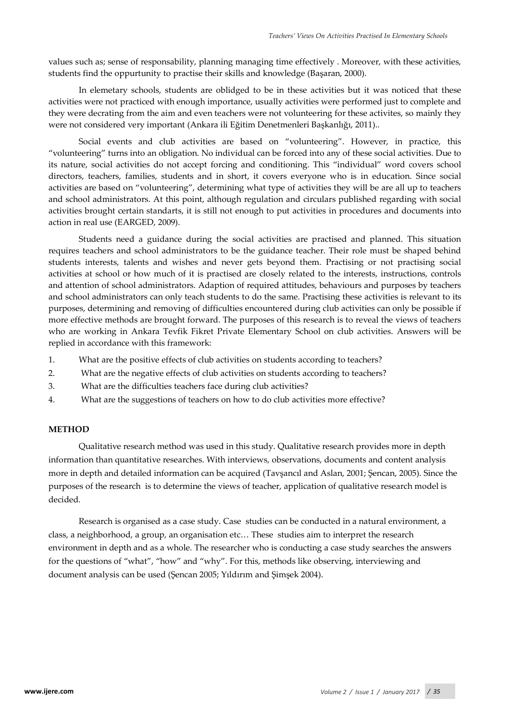values such as; sense of responsability, planning managing time effectively . Moreover, with these activities, students find the oppurtunity to practise their skills and knowledge (Başaran, 2000).

In elemetary schools, students are oblidged to be in these activities but it was noticed that these activities were not practiced with enough importance, usually activities were performed just to complete and they were decrating from the aim and even teachers were not volunteering for these activites, so mainly they were not considered very important (Ankara ili Eğitim Denetmenleri Başkanlığı, 2011)..

Social events and club activities are based on "volunteering". However, in practice, this "volunteering" turns into an obligation. No individual can be forced into any of these social activities. Due to its nature, social activities do not accept forcing and conditioning. This "individual" word covers school directors, teachers, families, students and in short, it covers everyone who is in education. Since social activities are based on "volunteering", determining what type of activities they will be are all up to teachers and school administrators. At this point, although regulation and circulars published regarding with social activities brought certain standarts, it is still not enough to put activities in procedures and documents into action in real use (EARGED, 2009).

Students need a guidance during the social activities are practised and planned. This situation requires teachers and school administrators to be the guidance teacher. Their role must be shaped behind students interests, talents and wishes and never gets beyond them. Practising or not practising social activities at school or how much of it is practised are closely related to the interests, instructions, controls and attention of school administrators. Adaption of required attitudes, behaviours and purposes by teachers and school administrators can only teach students to do the same. Practising these activities is relevant to its purposes, determining and removing of difficulties encountered during club activities can only be possible if more effective methods are brought forward. The purposes of this research is to reveal the views of teachers who are working in Ankara Tevfik Fikret Private Elementary School on club activities. Answers will be replied in accordance with this framework:

- 1. What are the positive effects of club activities on students according to teachers?
- 2. What are the negative effects of club activities on students according to teachers?
- 3. What are the difficulties teachers face during club activities?
- 4. What are the suggestions of teachers on how to do club activities more effective?

# **METHOD**

Qualitative research method was used in this study. Qualitative research provides more in depth information than quantitative researches. With interviews, observations, documents and content analysis more in depth and detailed information can be acquired (Tavşancıl and Aslan, 2001; Şencan, 2005). Since the purposes of the research is to determine the views of teacher, application of qualitative research model is decided.

Research is organised as a case study. Case studies can be conducted in a natural environment, a class, a neighborhood, a group, an organisation etc… These studies aim to interpret the research environment in depth and as a whole. The researcher who is conducting a case study searches the answers for the questions of "what", "how" and "why". For this, methods like observing, interviewing and document analysis can be used (Şencan 2005; Yıldırım and Şimşek 2004).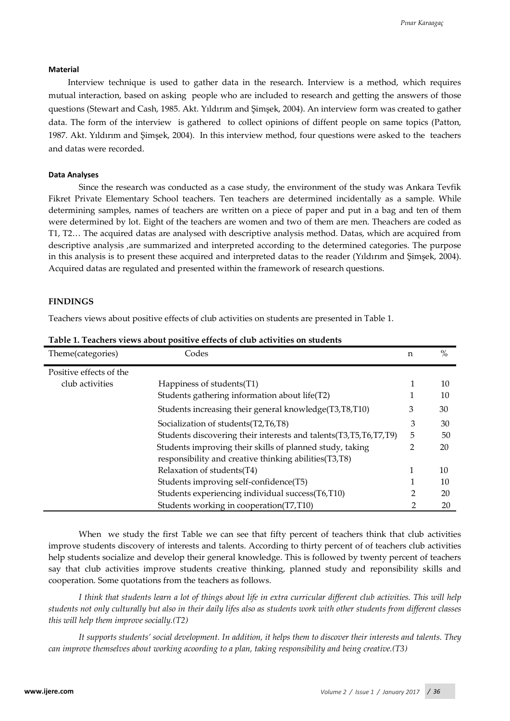# **Material**

Interview technique is used to gather data in the research. Interview is a method, which requires mutual interaction, based on asking people who are included to research and getting the answers of those questions (Stewart and Cash, 1985. Akt. Yıldırım and Şimşek, 2004). An interview form was created to gather data. The form of the interview is gathered to collect opinions of diffent people on same topics (Patton, 1987. Akt. Yıldırım and Şimşek, 2004). In this interview method, four questions were asked to the teachers and datas were recorded.

## **Data Analyses**

Since the research was conducted as a case study, the environment of the study was Ankara Tevfik Fikret Private Elementary School teachers. Ten teachers are determined incidentally as a sample. While determining samples, names of teachers are written on a piece of paper and put in a bag and ten of them were determined by lot. Eight of the teachers are women and two of them are men. Theachers are coded as T1, T2… The acquired datas are analysed with descriptive analysis method. Datas, which are acquired from descriptive analysis ,are summarized and interpreted according to the determined categories. The purpose in this analysis is to present these acquired and interpreted datas to the reader (Yıldırım and Şimşek, 2004). Acquired datas are regulated and presented within the framework of research questions.

#### **FINDINGS**

Teachers views about positive effects of club activities on students are presented in Table 1.

| Theme(categories)       | Codes                                                                                                                                  | n | $\%$ |  |  |
|-------------------------|----------------------------------------------------------------------------------------------------------------------------------------|---|------|--|--|
| Positive effects of the |                                                                                                                                        |   |      |  |  |
| club activities         | Happiness of students (T1)                                                                                                             |   | 10   |  |  |
|                         | Students gathering information about life(T2)                                                                                          |   | 10   |  |  |
|                         | Students increasing their general knowledge(T3,T8,T10)                                                                                 | З | 30   |  |  |
|                         | 3<br>Socialization of students (T2, T6, T8)                                                                                            |   |      |  |  |
|                         | Students discovering their interests and talents(T3,T5,T6,T7,T9)<br>5<br>Students improving their skills of planned study, taking<br>2 |   |      |  |  |
|                         |                                                                                                                                        |   |      |  |  |
|                         | responsibility and creative thinking abilities(T3,T8)                                                                                  |   |      |  |  |
|                         | Relaxation of students(T4)                                                                                                             |   | 10   |  |  |
|                         | Students improving self-confidence(T5)                                                                                                 |   | 10   |  |  |
|                         | Students experiencing individual success(T6,T10)                                                                                       |   | 20   |  |  |
|                         | Students working in cooperation(T7,T10)                                                                                                |   | 20   |  |  |

**Table 1. Teachers views about positive effects of club activities on students**

When we study the first Table we can see that fifty percent of teachers think that club activities improve students discovery of interests and talents. According to thirty percent of of teachers club activities help students socialize and develop their general knowledge. This is followed by twenty percent of teachers say that club activities improve students creative thinking, planned study and reponsibility skills and cooperation. Some quotations from the teachers as follows.

*I think that students learn a lot of things about life in extra curricular different club activities. This will help students not only culturally but also in their daily lifes also as students work with other students from different classes this will help them improve socially.(T2)*

*It supports students' social development. In addition, it helps them to discover their interests and talents. They can improve themselves about working acoording to a plan, taking responsibility and being creative.(T3)*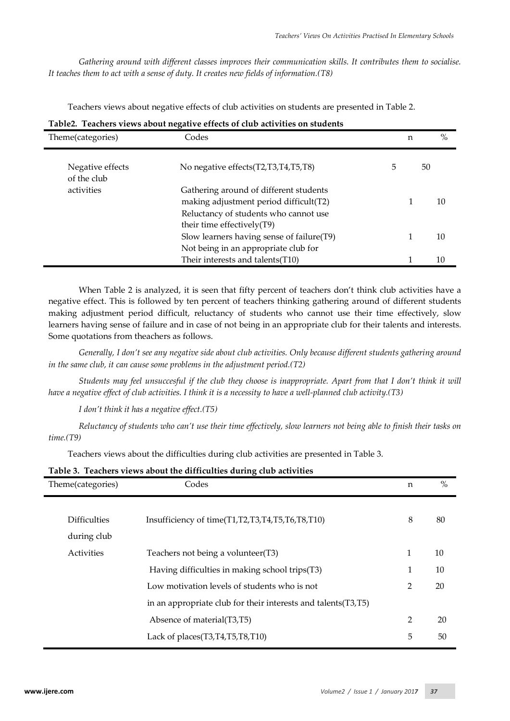*Gathering around with different classes improves their communication skills. It contributes them to socialise. It teaches them to act with a sense of duty. It creates new fields of information.(T8)*

Teachers views about negative effects of club activities on students are presented in Table 2.

| Tubics. Tenencio viewo ubont negum ve enecto |                                                                                                                                                         |   |   |      |  |  |
|----------------------------------------------|---------------------------------------------------------------------------------------------------------------------------------------------------------|---|---|------|--|--|
| Theme(categories)                            | Codes                                                                                                                                                   |   | n | $\%$ |  |  |
| Negative effects<br>of the club              | No negative effects(T2,T3,T4,T5,T8)                                                                                                                     | 5 |   | 50   |  |  |
| activities                                   | Gathering around of different students<br>making adjustment period difficult(T2)<br>Reluctancy of students who cannot use<br>their time effectively(T9) |   |   | 10   |  |  |
|                                              | Slow learners having sense of failure(T9)<br>Not being in an appropriate club for                                                                       |   |   | 10   |  |  |
|                                              | Their interests and talents(T10)                                                                                                                        |   |   | 10   |  |  |

| Table2. Teachers views about negative effects of club activities on students |  |
|------------------------------------------------------------------------------|--|
|                                                                              |  |

When Table 2 is analyzed, it is seen that fifty percent of teachers don't think club activities have a negative effect. This is followed by ten percent of teachers thinking gathering around of different students making adjustment period difficult, reluctancy of students who cannot use their time effectively, slow learners having sense of failure and in case of not being in an appropriate club for their talents and interests. Some quotations from theachers as follows.

*Generally, I don't see any negative side about club activities. Only because different students gathering around in the same club, it can cause some problems in the adjustment period.(T2)*

*Students may feel unsuccesful if the club they choose is inappropriate. Apart from that I don't think it will have a negative effect of club activities. I think it is a necessity to have a well-planned club activity.(T3)*

*I don't think it has a negative effect.(T5)*

*Reluctancy of students who can't use their time effectively, slow learners not being able to finish their tasks on time.(T9)*

Teachers views about the difficulties during club activities are presented in Table 3.

| Theme(categories)                  | $\sigma$<br>Codes                                               | n              | $\%$ |  |  |
|------------------------------------|-----------------------------------------------------------------|----------------|------|--|--|
| <b>Difficulties</b><br>during club | Insufficiency of time(T1,T2,T3,T4,T5,T6,T8,T10)                 | 8              | 80   |  |  |
| Activities                         | Teachers not being a volunteer(T3)                              | 1              | 10   |  |  |
|                                    | Having difficulties in making school trips(T3)                  |                |      |  |  |
|                                    | Low motivation levels of students who is not                    | $\overline{2}$ | 20   |  |  |
|                                    | in an appropriate club for their interests and talents (T3, T5) |                |      |  |  |
|                                    | Absence of material (T3,T5)                                     | $\overline{2}$ | 20   |  |  |
|                                    | Lack of places $(T3,T4,T5,T8,T10)$                              | 5              | 50   |  |  |

# **Table 3. Teachers views about the difficulties during club activities**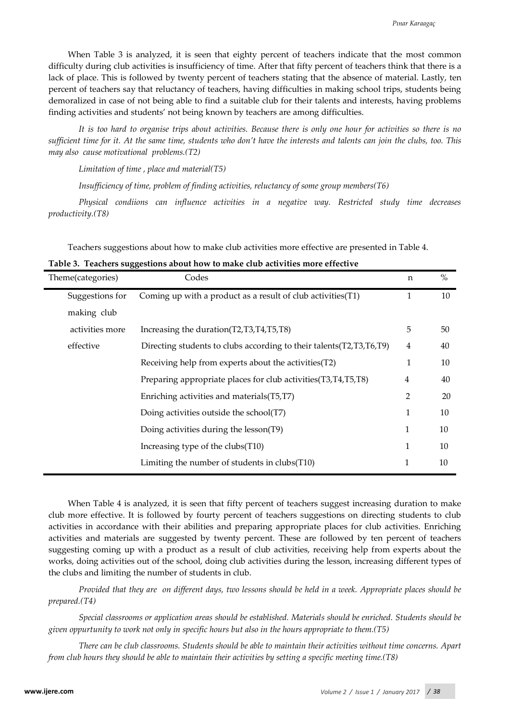When Table 3 is analyzed, it is seen that eighty percent of teachers indicate that the most common difficulty during club activities is insufficiency of time. After that fifty percent of teachers think that there is a lack of place. This is followed by twenty percent of teachers stating that the absence of material. Lastly, ten percent of teachers say that reluctancy of teachers, having difficulties in making school trips, students being demoralized in case of not being able to find a suitable club for their talents and interests, having problems finding activities and students' not being known by teachers are among difficulties.

*It is too hard to organise trips about activities. Because there is only one hour for activities so there is no sufficient time for it. At the same time, students who don't have the interests and talents can join the clubs, too. This may also cause motivational problems.(T2)*

*Limitation of time , place and material(T5)*

*Insufficiency of time, problem of finding activities, reluctancy of some group members(T6)*

*Physical condiions can influence activities in a negative way. Restricted study time decreases productivity.(T8)* 

Teachers suggestions about how to make club activities more effective are presented in Table 4.

|  | Table 3. Teachers suggestions about how to make club activities more effective |  |  |  |  |
|--|--------------------------------------------------------------------------------|--|--|--|--|
|  |                                                                                |  |  |  |  |

| Theme(categories) | Codes                                                                   | n | $\%$ |
|-------------------|-------------------------------------------------------------------------|---|------|
| Suggestions for   | Coming up with a product as a result of club activities(T1)             | 1 | 10   |
| making club       |                                                                         |   |      |
| activities more   | Increasing the duration (T2, T3, T4, T5, T8)                            | 5 | 50   |
| effective         | Directing students to clubs according to their talents (T2, T3, T6, T9) | 4 | 40   |
|                   | Receiving help from experts about the activities (T2)                   | 1 | 10   |
|                   | Preparing appropriate places for club activities(T3,T4,T5,T8)           | 4 | 40   |
|                   | Enriching activities and materials (T5, T7)                             | 2 | 20   |
|                   | Doing activities outside the school(T7)                                 | 1 | 10   |
|                   | Doing activities during the lesson(T9)                                  | 1 | 10   |
|                   | Increasing type of the clubs $(T10)$                                    | 1 | 10   |
|                   | Limiting the number of students in clubs (T10)                          | 1 | 10   |

When Table 4 is analyzed, it is seen that fifty percent of teachers suggest increasing duration to make club more effective. It is followed by fourty percent of teachers suggestions on directing students to club activities in accordance with their abilities and preparing appropriate places for club activities. Enriching activities and materials are suggested by twenty percent. These are followed by ten percent of teachers suggesting coming up with a product as a result of club activities, receiving help from experts about the works, doing activities out of the school, doing club activities during the lesson, increasing different types of the clubs and limiting the number of students in club.

*Provided that they are on different days, two lessons should be held in a week. Appropriate places should be prepared.(T4)*

*Special classrooms or application areas should be established. Materials should be enriched. Students should be given oppurtunity to work not only in specific hours but also in the hours appropriate to them.(T5)*

*There can be club classrooms. Students should be able to maintain their activities without time concerns. Apart from club hours they should be able to maintain their activities by setting a specific meeting time.(T8)*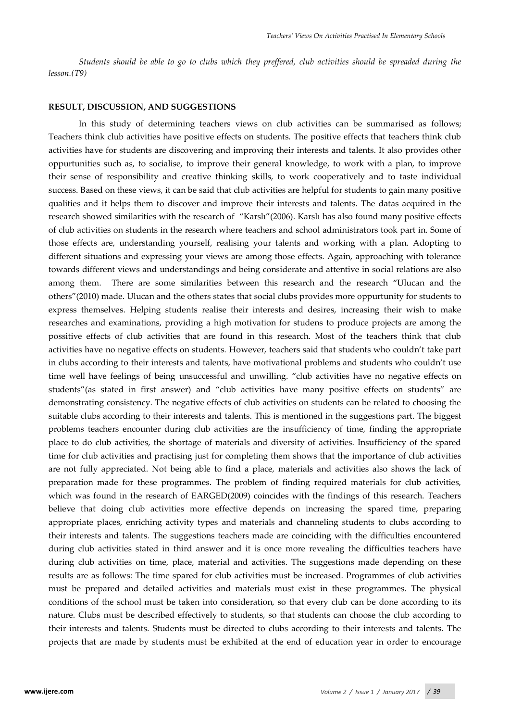*Students should be able to go to clubs which they preffered, club activities should be spreaded during the lesson.(T9)*

#### **RESULT, DISCUSSION, AND SUGGESTIONS**

In this study of determining teachers views on club activities can be summarised as follows; Teachers think club activities have positive effects on students. The positive effects that teachers think club activities have for students are discovering and improving their interests and talents. It also provides other oppurtunities such as, to socialise, to improve their general knowledge, to work with a plan, to improve their sense of responsibility and creative thinking skills, to work cooperatively and to taste individual success. Based on these views, it can be said that club activities are helpful for students to gain many positive qualities and it helps them to discover and improve their interests and talents. The datas acquired in the research showed similarities with the research of "Karslı"(2006). Karslı has also found many positive effects of club activities on students in the research where teachers and school administrators took part in. Some of those effects are, understanding yourself, realising your talents and working with a plan. Adopting to different situations and expressing your views are among those effects. Again, approaching with tolerance towards different views and understandings and being considerate and attentive in social relations are also among them. There are some similarities between this research and the research "Ulucan and the others"(2010) made. Ulucan and the others states that social clubs provides more oppurtunity for students to express themselves. Helping students realise their interests and desires, increasing their wish to make researches and examinations, providing a high motivation for studens to produce projects are among the possitive effects of club activities that are found in this research. Most of the teachers think that club activities have no negative effects on students. However, teachers said that students who couldn't take part in clubs according to their interests and talents, have motivational problems and students who couldn't use time well have feelings of being unsuccessful and unwilling. "club activities have no negative effects on students"(as stated in first answer) and "club activities have many positive effects on students" are demonstrating consistency. The negative effects of club activities on students can be related to choosing the suitable clubs according to their interests and talents. This is mentioned in the suggestions part. The biggest problems teachers encounter during club activities are the insufficiency of time, finding the appropriate place to do club activities, the shortage of materials and diversity of activities. Insufficiency of the spared time for club activities and practising just for completing them shows that the importance of club activities are not fully appreciated. Not being able to find a place, materials and activities also shows the lack of preparation made for these programmes. The problem of finding required materials for club activities, which was found in the research of EARGED(2009) coincides with the findings of this research. Teachers believe that doing club activities more effective depends on increasing the spared time, preparing appropriate places, enriching activity types and materials and channeling students to clubs according to their interests and talents. The suggestions teachers made are coinciding with the difficulties encountered during club activities stated in third answer and it is once more revealing the difficulties teachers have during club activities on time, place, material and activities. The suggestions made depending on these results are as follows: The time spared for club activities must be increased. Programmes of club activities must be prepared and detailed activities and materials must exist in these programmes. The physical conditions of the school must be taken into consideration, so that every club can be done according to its nature. Clubs must be described effectively to students, so that students can choose the club according to their interests and talents. Students must be directed to clubs according to their interests and talents. The projects that are made by students must be exhibited at the end of education year in order to encourage